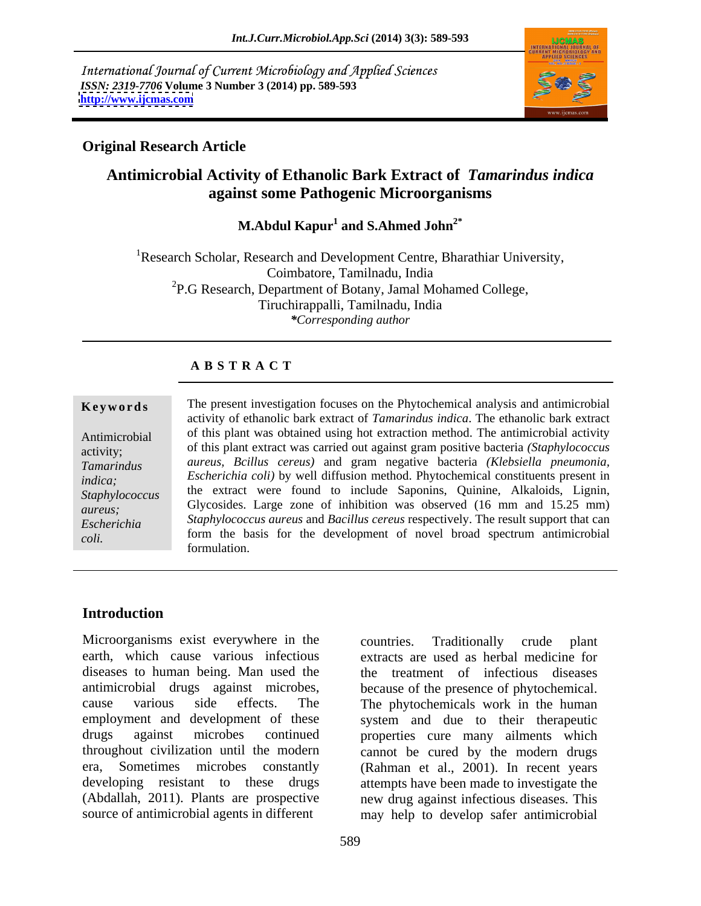International Journal of Current Microbiology and Applied Sciences *ISSN: 2319-7706* **Volume 3 Number 3 (2014) pp. 589-593 <http://www.ijcmas.com>**



## **Original Research Article**

# **Antimicrobial Activity of Ethanolic Bark Extract of** *Tamarindus indica* **against some Pathogenic Microorganisms**

M.Abdul Kapur<sup>1</sup> and S.Ahmed John<sup>2\*</sup>  **and S.Ahmed John2\***

<sup>1</sup>Research Scholar, Research and Development Centre, Bharathiar University, Coimbatore, Tamilnadu, India <sup>2</sup>P.G Research, Department of Botany, Jamal Mohamed College, Tiruchirappalli, Tamilnadu, India *\*Corresponding author*

## **A B S T R A C T**

**Keywords** The present investigation focuses on the Phytochemical analysis and antimicrobial Antimicrobial of this plant was obtained using hot extraction method. The antimicrobial activity activity; of this plant extract was carried out against gram positive bacteria *(Staphylococcus Tamarindus aureus, Bcillus cereus)* and gram negative bacteria *(Klebsiella pneumonia, indica*; *Escherichia coli)* by well diffusion method. Phytochemical constituents present in *Staphylococcus* the extract were found to include Saponins, Quinine, Alkaloids, Lignin, *aureus*; Glycosides. Large zone of inhibition was observed (16 mm and 15.25 mm) *Escherichia Staphylococcus aureus* and *Bacillus cereus* respectively. The result support that can *coli.* **form** the basis for the development of novel broad spectrum antimicrobial activity of ethanolic bark extract of *Tamarindus indica*. The ethanolic bark extract formulation.

## **Introduction**

Microorganisms exist everywhere in the countries. Traditionally crude plant earth, which cause various infectious diseases to human being. Man used the antimicrobial drugs against microbes, because of the presence of phytochemical. cause various side effects. The The phytochemicals work in the human employment and development of these system and due to their therapeutic drugs against microbes continued properties cure many ailments which throughout civilization until the modern cannot be cured by the modern drugs era, Sometimes microbes constantly (Rahman et al., 2001). In recent years developing resistant to these drugs attempts have been made to investigate the (Abdallah, 2011). Plants are prospective new drug against infectious diseases. This

source of antimicrobial agents in different may help to develop safer antimicrobial countries. Traditionally crude plant extracts are used as herbal medicine for the treatment of infectious diseases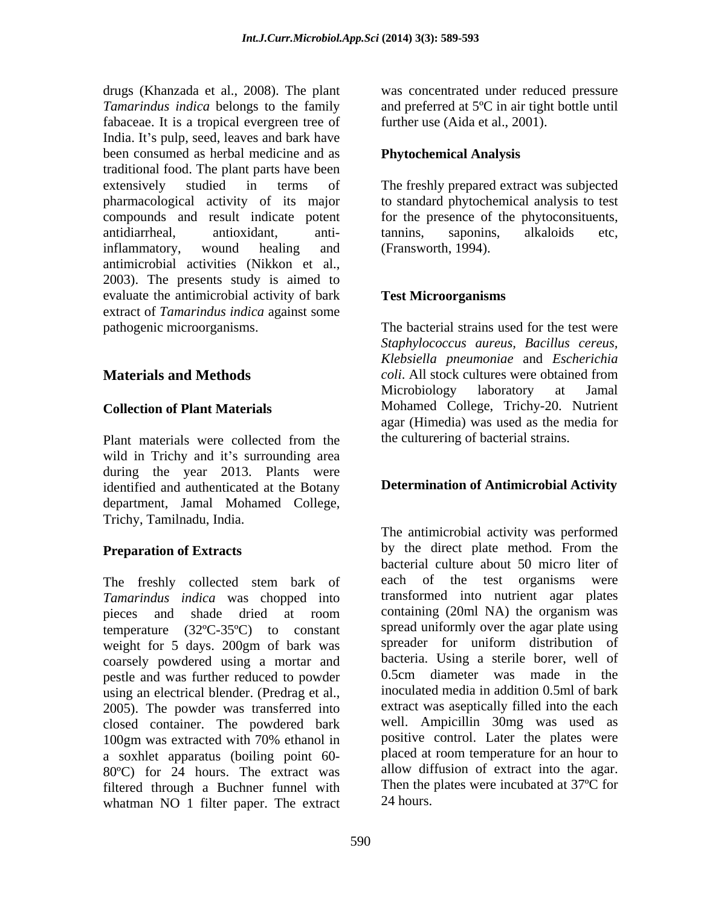drugs (Khanzada et al., 2008). The plant was concentrated under reduced pressure *Tamarindus indica* belongs to the family and preferred at 5ºC in air tight bottle until fabaceae. It is a tropical evergreen tree of India. It's pulp, seed, leaves and bark have been consumed as herbal medicine and as traditional food. The plant parts have been extensively studied in terms of The freshly prepared extract was subjected pharmacological activity of its major to standard phytochemical analysis to test compounds and result indicate potent for the presence of the phytoconsituents, antidiarrheal, antioxidant, antiinflammatory, wound healing and antimicrobial activities (Nikkon et al., 2003). The presents study is aimed to evaluate the antimicrobial activity of bark extract of *Tamarindus indica* against some pathogenic microorganisms. The bacterial strains used for the test were

Plant materials were collected from the the culturering of bacterial strains. wild in Trichy and it's surrounding area during the year 2013. Plants were identified and authenticated at the Botany department, Jamal Mohamed College, Trichy, Tamilnadu, India.

The freshly collected stem bark of each of the test organisms were *Tamarindus indica* was chopped into pieces and shade dried at room containing (20ml NA) the organism was temperature (32°C-35°C) to constant spread uniformly over the agar plate using<br>weight for 5 days 200gm of bark was spreader for uniform distribution of weight for 5 days. 200gm of bark was coarsely powdered using a mortar and bacteria. Using a sterile borer, well of postle and was further reduced to powder 0.5cm diameter was made in the pestle and was further reduced to powder using an electrical blender. (Predrag et al., 2005). The powder was transferred into closed container. The powdered bark 100gm was extracted with 70% ethanol in positive control. Later the plates were a soxhlet apparatus (boiling point 60- 80ºC) for 24 hours. The extract was filtered through a Buchner funnel with whatman NO 1 filter paper. The extract

further use (Aida et al., 2001).

### **Phytochemical Analysis**

tannins, saponins, alkaloids etc, (Fransworth, 1994).

### **Test Microorganisms**

**Materials and Methods**  $coll.$  All stock cultures were obtained from Microbiology laboratory at Jamal **Collection of Plant Materials** Mohamed College, Trichy-20. Nutrient *Staphylococcus aureus, Bacillus cereus, Klebsiella pneumoniae* and *Escherichia coli*. All stock cultures were obtained from Microbiology laboratory at Jamal agar (Himedia) was used as the media for the culturering of bacterial strains.

### **Determination of Antimicrobial Activity**

**Preparation of Extracts** by the direct plate method. From the The antimicrobial activity was performed by the direct plate method. From the bacterial culture about 50 micro liter of each of the test organisms were transformed into nutrient agar plates containing (20ml NA) the organism was spread uniformly over the agar plate using spreader for uniform distribution of bacteria. Using a sterile borer, well of 0.5cm diameter was made in the inoculated media in addition 0.5ml of bark extract was aseptically filled into the each well. Ampicillin 30mg was used as positive control. Later the plates were placed at room temperature for an hour to allow diffusion of extract into the agar. Then the plates were incubated at 37ºC for 24 hours.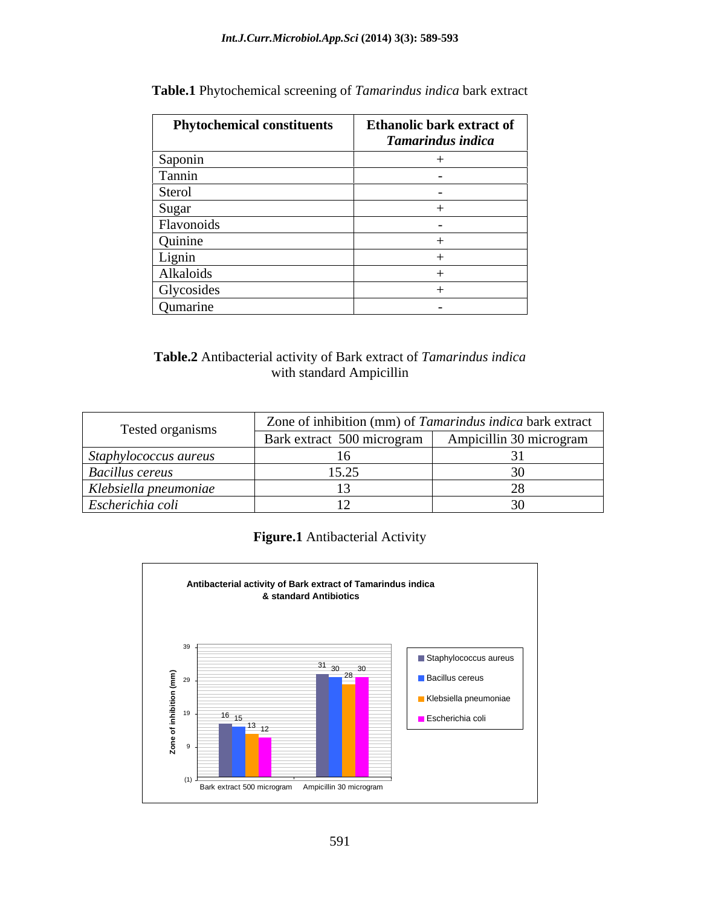| <b>Phytochemical constituents</b> | <b>Ethanolic bark extract of</b><br>Tamarindus indica |
|-----------------------------------|-------------------------------------------------------|
| Saponin                           |                                                       |
| Tannin                            |                                                       |
| Sterol                            | $\overline{\phantom{0}}$                              |
| Sugar                             |                                                       |
| Flavonoids                        |                                                       |
| Quinine                           |                                                       |
| Lignin                            |                                                       |
| Alkaloids                         |                                                       |
| Glycosides                        |                                                       |
| Qumarine                          | $\overline{\phantom{0}}$                              |

**Table.1** Phytochemical screening of *Tamarindus indica* bark extract

**Table.2** Antibacterial activity of Bark extract of *Tamarindus indica* with standard Ampicillin

| Tested organisms       | Zone of inhibition (mm) of Tamarindus indica bark extract |  |
|------------------------|-----------------------------------------------------------|--|
|                        | Bark extract 500 microgram   Ampicillin 30 microgram      |  |
| Staphylococcus aureus  |                                                           |  |
| <b>Bacillus cereus</b> | $1 - \Delta$                                              |  |
| Klebsiella pneumoniae  |                                                           |  |
| Escherichia coli       |                                                           |  |

## **Figure.1** Antibacterial Activity

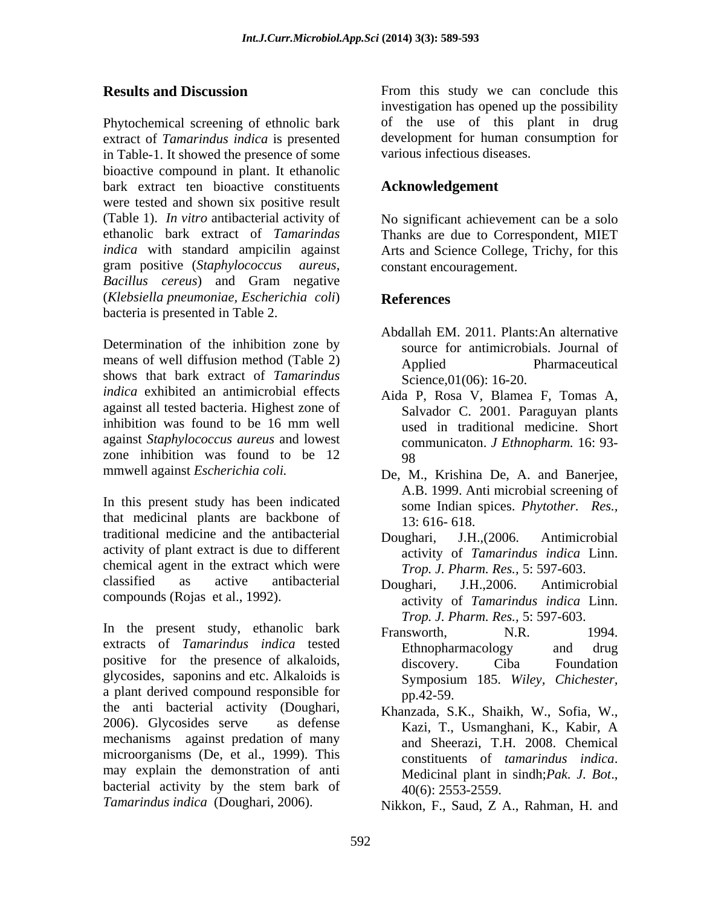Phytochemical screening of ethnolic bark extract of *Tamarindus indica* is presented in Table-1. It showed the presence of some bioactive compound in plant. It ethanolic bark extract ten bioactive constituents were tested and shown six positive result (Table 1). *In vitro* antibacterial activity of ethanolic bark extract of *Tamarindas*  Thanks are due to Correspondent, MIET *indica* with standard ampicilin against Arts and Science College, Trichy, for this gram positive (*Staphylococcus aureus*, *Bacillus cereus*) and Gram negative (*Klebsiella pneumoniae, Escherichia coli*) bacteria is presented in Table 2.

Determination of the inhibition zone by means of well diffusion method (Table 2)  $\qquad \qquad \text{Applied} \qquad \qquad \text{Pharmacutical}$ shows that bark extract of *Tamarindus* Science, 01(06): 16-20. *indica* exhibited an antimicrobial effects Aida P, Rosa V, Blamea F, Tomas A, against all tested bacteria. Highest zone of inhibition was found to be 16 mm well against *Staphylococcus aureus* and lowest zone inhibition was found to be  $12$  98

In this present study has been indicated that medicinal plants are backbone of traditional medicine and the antibacterial activity of plant extract is due to different chemical agent in the extract which were classified as active antibacterial Doughari, J.H., 2006. Antimicrobial

In the present study, ethanolic bark Fransworth. N.R. 1994. extracts of *Tamarindus indica* tested positive for the presence of alkaloids, discovery. Ciba Foundation glycosides, saponins and etc. Alkaloids is a plant derived compound responsible for  $\overline{p}$ ,  $\overline{p}$ ,  $\overline{q}$ ,  $\overline{q}$ ,  $\overline{q}$ ,  $\overline{q}$ ,  $\overline{q}$ ,  $\overline{q}$ ,  $\overline{q}$ ,  $\overline{q}$ ,  $\overline{q}$ ,  $\overline{q}$ ,  $\overline{q}$ ,  $\overline{q}$ ,  $\overline{q}$ ,  $\overline{q}$ ,  $\overline{q}$ ,  $\overline{q}$ , the anti bacterial activity (Doughari, 2006). Glycosides serve as defense Kazi, T., Usmanghani, K., Kabir, A mechanisms against predation of many microorganisms (De, et al., 1999). This constituents of *tamarindus indica*. may explain the demonstration of anti Medicinal plant in sindh; Pak. J. Bot., bacterial activity by the stem bark of  $40(6)$ :  $2553-2559$ . *Tamarindus indica* (Doughari, 2006).

**Results and Discussion** From this study we can conclude this investigation has opened up the possibility of the use of this plant in drug development for human consumption for various infectious diseases.

## **Acknowledgement**

No significant achievement can be a solo constant encouragement.

## **References**

- Abdallah EM. 2011. Plants:An alternative source for antimicrobials. Journal of Applied Pharmaceutical
- Science,01(06): 16-20. Aida P, Rosa V, Blamea F, Tomas A, Salvador C. 2001. Paraguyan plants used in traditional medicine. Short communicaton. *J Ethnopharm.* 16: 93- 98
- mmwell against *Escherichia coli.* De, M., Krishina De, A. and Banerjee, A.B. 1999. Anti microbial screening of some Indian spices. *Phytother. Res.,* 13: 616- 618.
	- Doughari, J.H.,(2006. Antimicrobial activity of *Tamarindus indica* Linn. *Trop. J. Pharm. Res.,* 5: 597-603.
- compounds (Rojas et al., 1992). activity of *Tamarindus indica* Linn. Doughari, J.H.,2006. Antimicrobial *Trop. J. Pharm. Res.,* 5: 597-603.
	- Fransworth, N.R. 1994. Ethnopharmacology and drug discovery. Ciba Foundation Symposium 185. *Wiley, Chichester,* pp.42-59.
	- Khanzada, S.K., Shaikh, W., Sofia, W., Kazi, T., Usmanghani, K., Kabir, A and Sheerazi, T.H. 2008. Chemical constituents of *tamarindus indica*. Medicinal plant in sindh;*Pak. J. Bot*., 40(6): 2553-2559.

Nikkon, F., Saud, Z A., Rahman, H. and